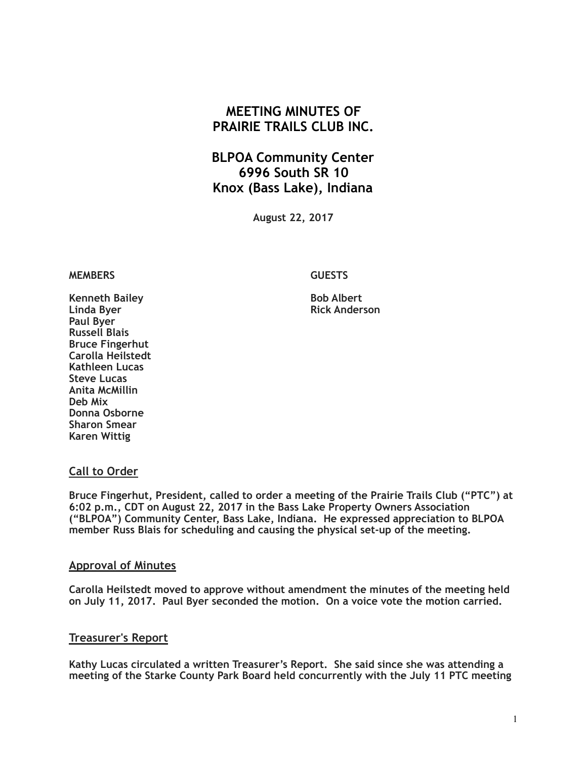# **MEETING MINUTES OF PRAIRIE TRAILS CLUB INC.**

# **BLPOA Community Center 6996 South SR 10 Knox (Bass Lake), Indiana**

**August 22, 2017**

#### **MEMBERS GUESTS**

**Kenneth Bailey Community Bob Albert Report** Report of Bob Albert **Linda Byer Rick Anderson Paul Byer Russell Blais Bruce Fingerhut Carolla Heilstedt Kathleen Lucas Steve Lucas Anita McMillin Deb Mix Donna Osborne Sharon Smear Karen Wittig**

### **Call to Order**

**Bruce Fingerhut, President, called to order a meeting of the Prairie Trails Club ("PTC") at 6:02 p.m., CDT on August 22, 2017 in the Bass Lake Property Owners Association ("BLPOA") Community Center, Bass Lake, Indiana. He expressed appreciation to BLPOA member Russ Blais for scheduling and causing the physical set-up of the meeting.**

#### **Approval of Minutes**

**Carolla Heilstedt moved to approve without amendment the minutes of the meeting held on July 11, 2017. Paul Byer seconded the motion. On a voice vote the motion carried.**

#### **Treasurer's Report**

**Kathy Lucas circulated a written Treasurer's Report. She said since she was attending a meeting of the Starke County Park Board held concurrently with the July 11 PTC meeting**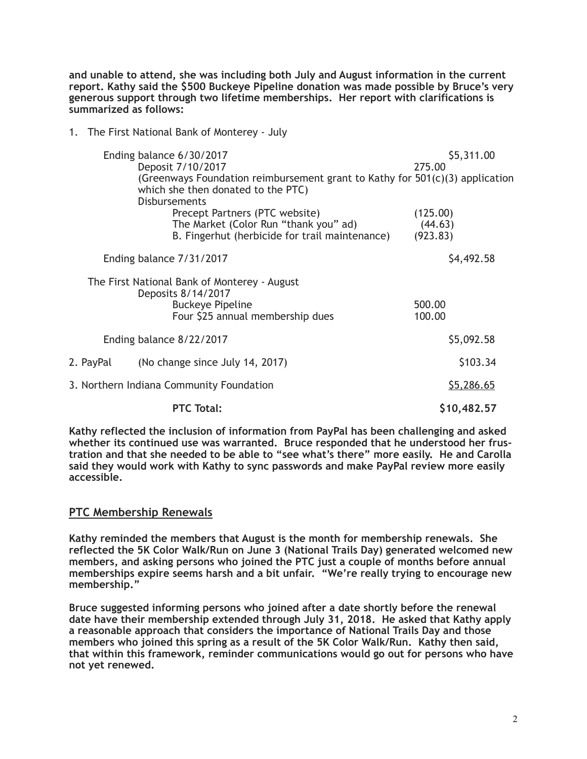**and unable to attend, she was including both July and August information in the current report. Kathy said the \$500 Buckeye Pipeline donation was made possible by Bruce's very generous support through two lifetime memberships. Her report with clarifications is summarized as follows:** 

1. The First National Bank of Monterey - July

| Ending balance 6/30/2017<br>Deposit 7/10/2017                      |                                                                                                                      | \$5,311.00<br>275.00 |
|--------------------------------------------------------------------|----------------------------------------------------------------------------------------------------------------------|----------------------|
| <b>Disbursements</b>                                               | (Greenways Foundation reimbursement grant to Kathy for $501(c)(3)$ application<br>which she then donated to the PTC) |                      |
|                                                                    | Precept Partners (PTC website)<br>The Market (Color Run "thank you" ad)                                              | (125.00)<br>(44.63)  |
|                                                                    | B. Fingerhut (herbicide for trail maintenance)                                                                       | (923.83)             |
| Ending balance 7/31/2017                                           |                                                                                                                      | \$4,492.58           |
| The First National Bank of Monterey - August<br>Deposits 8/14/2017 |                                                                                                                      |                      |
|                                                                    | <b>Buckeye Pipeline</b><br>Four \$25 annual membership dues                                                          | 500.00<br>100.00     |
| Ending balance 8/22/2017                                           |                                                                                                                      | \$5,092.58           |
| 2. PayPal                                                          | (No change since July 14, 2017)                                                                                      | \$103.34             |
| 3. Northern Indiana Community Foundation                           |                                                                                                                      | <u>\$5,286.65</u>    |
|                                                                    | <b>PTC Total:</b>                                                                                                    | \$10,482.57          |

**Kathy reflected the inclusion of information from PayPal has been challenging and asked whether its continued use was warranted. Bruce responded that he understood her frustration and that she needed to be able to "see what's there" more easily. He and Carolla said they would work with Kathy to sync passwords and make PayPal review more easily accessible.** 

# **PTC Membership Renewals**

**Kathy reminded the members that August is the month for membership renewals. She reflected the 5K Color Walk/Run on June 3 (National Trails Day) generated welcomed new members, and asking persons who joined the PTC just a couple of months before annual memberships expire seems harsh and a bit unfair. "We're really trying to encourage new membership."** 

**Bruce suggested informing persons who joined after a date shortly before the renewal date have their membership extended through July 31, 2018. He asked that Kathy apply a reasonable approach that considers the importance of National Trails Day and those members who joined this spring as a result of the 5K Color Walk/Run. Kathy then said, that within this framework, reminder communications would go out for persons who have not yet renewed.**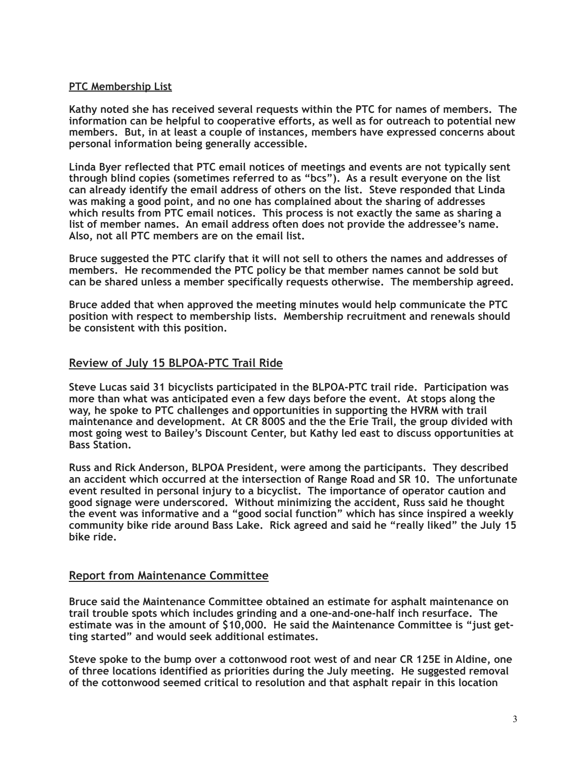### **PTC Membership List**

**Kathy noted she has received several requests within the PTC for names of members. The information can be helpful to cooperative efforts, as well as for outreach to potential new members. But, in at least a couple of instances, members have expressed concerns about personal information being generally accessible.** 

**Linda Byer reflected that PTC email notices of meetings and events are not typically sent through blind copies (sometimes referred to as "bcs"). As a result everyone on the list can already identify the email address of others on the list. Steve responded that Linda was making a good point, and no one has complained about the sharing of addresses which results from PTC email notices. This process is not exactly the same as sharing a list of member names. An email address often does not provide the addressee's name. Also, not all PTC members are on the email list.** 

**Bruce suggested the PTC clarify that it will not sell to others the names and addresses of members. He recommended the PTC policy be that member names cannot be sold but can be shared unless a member specifically requests otherwise. The membership agreed.** 

**Bruce added that when approved the meeting minutes would help communicate the PTC position with respect to membership lists. Membership recruitment and renewals should be consistent with this position.** 

# **Review of July 15 BLPOA-PTC Trail Ride**

**Steve Lucas said 31 bicyclists participated in the BLPOA-PTC trail ride. Participation was more than what was anticipated even a few days before the event. At stops along the way, he spoke to PTC challenges and opportunities in supporting the HVRM with trail maintenance and development. At CR 800S and the the Erie Trail, the group divided with most going west to Bailey's Discount Center, but Kathy led east to discuss opportunities at Bass Station.** 

**Russ and Rick Anderson, BLPOA President, were among the participants. They described an accident which occurred at the intersection of Range Road and SR 10. The unfortunate event resulted in personal injury to a bicyclist. The importance of operator caution and good signage were underscored. Without minimizing the accident, Russ said he thought the event was informative and a "good social function" which has since inspired a weekly community bike ride around Bass Lake. Rick agreed and said he "really liked" the July 15 bike ride.**

### **Report from Maintenance Committee**

**Bruce said the Maintenance Committee obtained an estimate for asphalt maintenance on trail trouble spots which includes grinding and a one-and-one-half inch resurface. The estimate was in the amount of \$10,000. He said the Maintenance Committee is "just getting started" and would seek additional estimates.** 

**Steve spoke to the bump over a cottonwood root west of and near CR 125E in Aldine, one of three locations identified as priorities during the July meeting. He suggested removal of the cottonwood seemed critical to resolution and that asphalt repair in this location**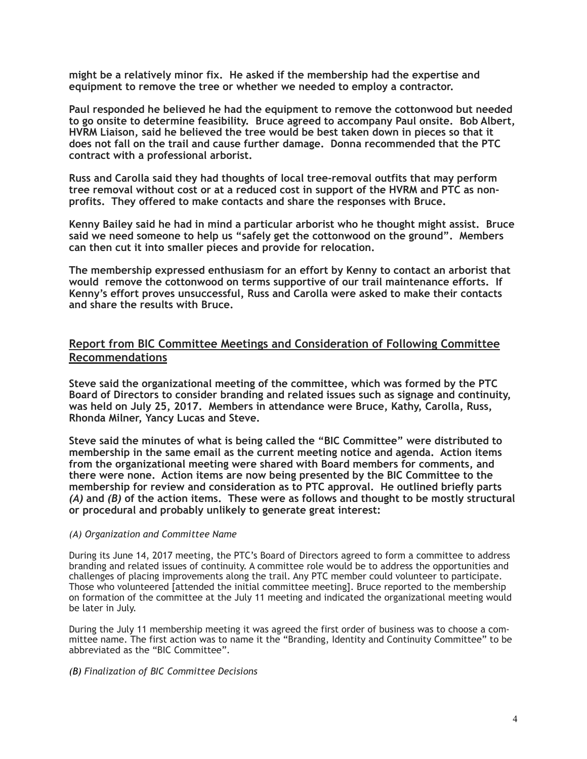**might be a relatively minor fix. He asked if the membership had the expertise and equipment to remove the tree or whether we needed to employ a contractor.** 

**Paul responded he believed he had the equipment to remove the cottonwood but needed to go onsite to determine feasibility. Bruce agreed to accompany Paul onsite. Bob Albert, HVRM Liaison, said he believed the tree would be best taken down in pieces so that it does not fall on the trail and cause further damage. Donna recommended that the PTC contract with a professional arborist.** 

**Russ and Carolla said they had thoughts of local tree-removal outfits that may perform tree removal without cost or at a reduced cost in support of the HVRM and PTC as nonprofits. They offered to make contacts and share the responses with Bruce.** 

**Kenny Bailey said he had in mind a particular arborist who he thought might assist. Bruce said we need someone to help us "safely get the cottonwood on the ground". Members can then cut it into smaller pieces and provide for relocation.** 

**The membership expressed enthusiasm for an effort by Kenny to contact an arborist that would remove the cottonwood on terms supportive of our trail maintenance efforts. If Kenny's effort proves unsuccessful, Russ and Carolla were asked to make their contacts and share the results with Bruce.**

# **Report from BIC Committee Meetings and Consideration of Following Committee Recommendations**

**Steve said the organizational meeting of the committee, which was formed by the PTC Board of Directors to consider branding and related issues such as signage and continuity, was held on July 25, 2017. Members in attendance were Bruce, Kathy, Carolla, Russ, Rhonda Milner, Yancy Lucas and Steve.** 

**Steve said the minutes of what is being called the "BIC Committee" were distributed to membership in the same email as the current meeting notice and agenda. Action items from the organizational meeting were shared with Board members for comments, and there were none. Action items are now being presented by the BIC Committee to the membership for review and consideration as to PTC approval. He outlined briefly parts**  *(A)* **and** *(B)* **of the action items. These were as follows and thought to be mostly structural or procedural and probably unlikely to generate great interest:** 

#### *(A) Organization and Committee Name*

During its June 14, 2017 meeting, the PTC's Board of Directors agreed to form a committee to address branding and related issues of continuity. A committee role would be to address the opportunities and challenges of placing improvements along the trail. Any PTC member could volunteer to participate. Those who volunteered [attended the initial committee meeting]. Bruce reported to the membership on formation of the committee at the July 11 meeting and indicated the organizational meeting would be later in July.

During the July 11 membership meeting it was agreed the first order of business was to choose a committee name. The first action was to name it the "Branding, Identity and Continuity Committee" to be abbreviated as the "BIC Committee".

*(B) Finalization of BIC Committee Decisions*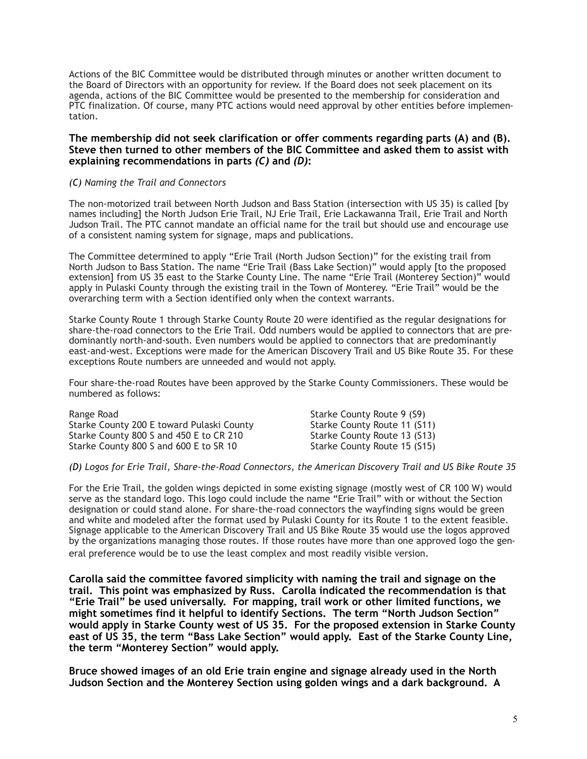Actions of the BIC Committee would be distributed through minutes or another written document to the Board of Directors with an opportunity for review. If the Board does not seek placement on its agenda, actions of the BIC Committee would be presented to the membership for consideration and PTC finalization. Of course, many PTC actions would need approval by other entities before implementation.

#### **The membership did not seek clarification or offer comments regarding parts (A) and (B). Steve then turned to other members of the BIC Committee and asked them to assist with explaining recommendations in parts** *(C)* **and** *(D)***:**

#### *(C) Naming the Trail and Connectors*

The non-motorized trail between North Judson and Bass Station (intersection with US 35) is called [by names including] the North Judson Erie Trail, NJ Erie Trail, Erie Lackawanna Trail, Erie Trail and North Judson Trail. The PTC cannot mandate an official name for the trail but should use and encourage use of a consistent naming system for signage, maps and publications.

The Committee determined to apply "Erie Trail (North Judson Section)" for the existing trail from North Judson to Bass Station. The name "Erie Trail (Bass Lake Section)" would apply [to the proposed extension] from US 35 east to the Starke County Line. The name "Erie Trail (Monterey Section)" would apply in Pulaski County through the existing trail in the Town of Monterey. "Erie Trail" would be the overarching term with a Section identified only when the context warrants.

Starke County Route 1 through Starke County Route 20 were identified as the regular designations for share-the-road connectors to the Erie Trail. Odd numbers would be applied to connectors that are predominantly north-and-south. Even numbers would be applied to connectors that are predominantly east-and-west. Exceptions were made for the American Discovery Trail and US Bike Route 35. For these exceptions Route numbers are unneeded and would not apply.

Four share-the-road Routes have been approved by the Starke County Commissioners. These would be numbered as follows:

Range Road **Starke County Route 9** (S9) Starke County 200 E toward Pulaski County Starke County Route 11 (S11) Starke County 800 S and 450 E to CR 210<br>Starke County 800 S and 600 E to SR 10<br>Starke County Route 15 (S15) Starke County 800 S and 600 E to SR 10

#### *(D) Logos for Erie Trail, Share-the-Road Connectors, the American Discovery Trail and US Bike Route 35*

For the Erie Trail, the golden wings depicted in some existing signage (mostly west of CR 100 W) would serve as the standard logo. This logo could include the name "Erie Trail" with or without the Section designation or could stand alone. For share-the-road connectors the wayfinding signs would be green and white and modeled after the format used by Pulaski County for its Route 1 to the extent feasible. Signage applicable to the American Discovery Trail and US Bike Route 35 would use the logos approved by the organizations managing those routes. If those routes have more than one approved logo the general preference would be to use the least complex and most readily visible version.

**Carolla said the committee favored simplicity with naming the trail and signage on the trail. This point was emphasized by Russ. Carolla indicated the recommendation is that "Erie Trail" be used universally. For mapping, trail work or other limited functions, we might sometimes find it helpful to identify Sections. The term "North Judson Section" would apply in Starke County west of US 35. For the proposed extension in Starke County east of US 35, the term "Bass Lake Section" would apply. East of the Starke County Line, the term "Monterey Section" would apply.** 

**Bruce showed images of an old Erie train engine and signage already used in the North Judson Section and the Monterey Section using golden wings and a dark background. A**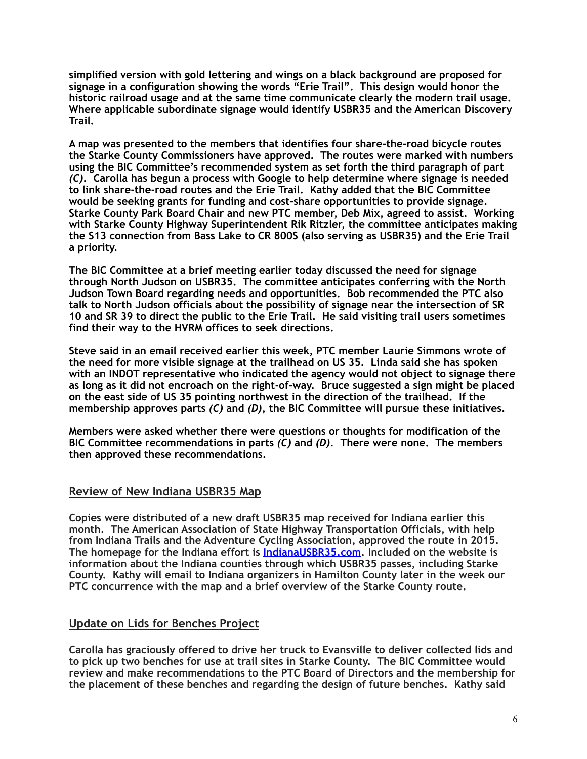**simplified version with gold lettering and wings on a black background are proposed for signage in a configuration showing the words "Erie Trail". This design would honor the historic railroad usage and at the same time communicate clearly the modern trail usage. Where applicable subordinate signage would identify USBR35 and the American Discovery Trail.** 

**A map was presented to the members that identifies four share-the-road bicycle routes the Starke County Commissioners have approved. The routes were marked with numbers using the BIC Committee's recommended system as set forth the third paragraph of part**  *(C)***. Carolla has begun a process with Google to help determine where signage is needed to link share-the-road routes and the Erie Trail. Kathy added that the BIC Committee would be seeking grants for funding and cost-share opportunities to provide signage. Starke County Park Board Chair and new PTC member, Deb Mix, agreed to assist. Working with Starke County Highway Superintendent Rik Ritzler, the committee anticipates making the S13 connection from Bass Lake to CR 800S (also serving as USBR35) and the Erie Trail a priority.** 

**The BIC Committee at a brief meeting earlier today discussed the need for signage through North Judson on USBR35. The committee anticipates conferring with the North Judson Town Board regarding needs and opportunities. Bob recommended the PTC also talk to North Judson officials about the possibility of signage near the intersection of SR 10 and SR 39 to direct the public to the Erie Trail. He said visiting trail users sometimes find their way to the HVRM offices to seek directions.** 

**Steve said in an email received earlier this week, PTC member Laurie Simmons wrote of the need for more visible signage at the trailhead on US 35. Linda said she has spoken with an INDOT representative who indicated the agency would not object to signage there as long as it did not encroach on the right-of-way. Bruce suggested a sign might be placed on the east side of US 35 pointing northwest in the direction of the trailhead. If the membership approves parts** *(C)* **and** *(D)***, the BIC Committee will pursue these initiatives.** 

**Members were asked whether there were questions or thoughts for modification of the BIC Committee recommendations in parts** *(C)* **and** *(D).* **There were none. The members then approved these recommendations.** 

# **Review of New Indiana USBR35 Map**

**Copies were distributed of a new draft USBR35 map received for Indiana earlier this month. The American Association of State Highway Transportation Officials, with help from Indiana Trails and the Adventure Cycling Association, approved the route in 2015. The homepage for the Indiana effort is [IndianaUSBR35.com.](http://indianausbr35.com) Included on the website is information about the Indiana counties through which USBR35 passes, including Starke County. Kathy will email to Indiana organizers in Hamilton County later in the week our PTC concurrence with the map and a brief overview of the Starke County route.** 

# **Update on Lids for Benches Project**

**Carolla has graciously offered to drive her truck to Evansville to deliver collected lids and to pick up two benches for use at trail sites in Starke County. The BIC Committee would review and make recommendations to the PTC Board of Directors and the membership for the placement of these benches and regarding the design of future benches. Kathy said**